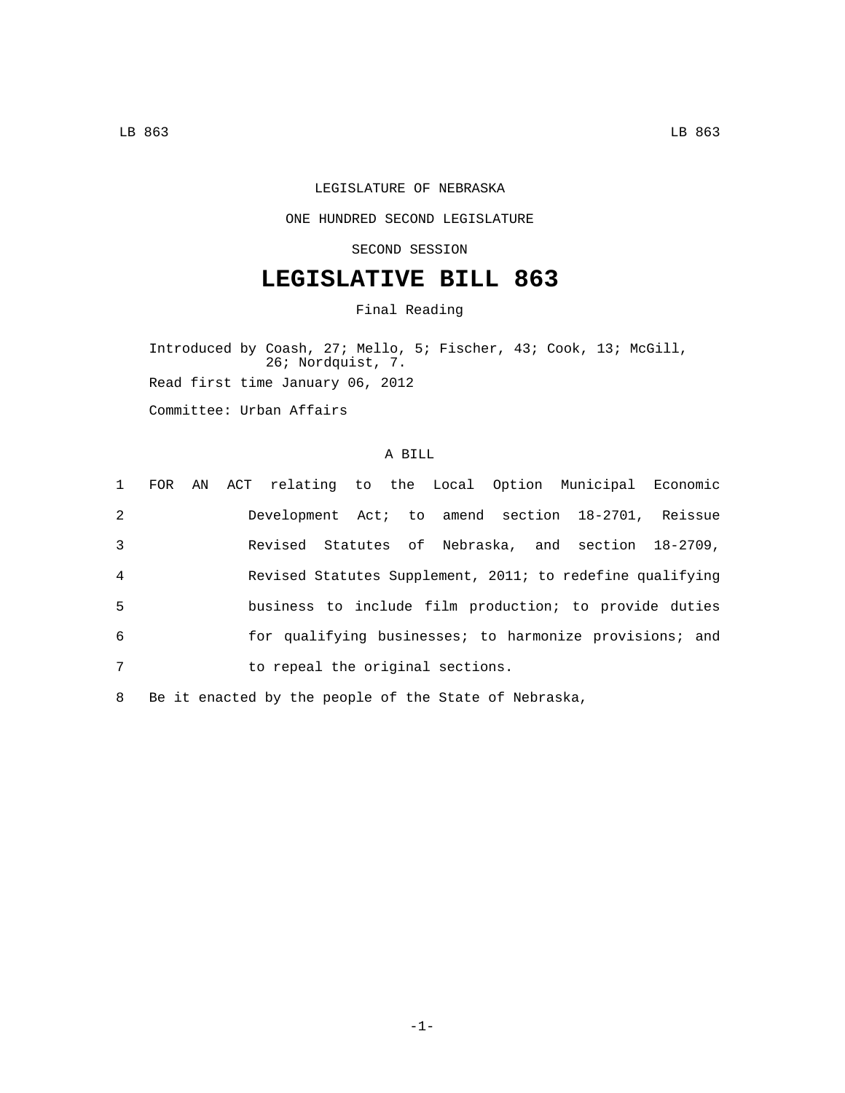## LEGISLATURE OF NEBRASKA

## ONE HUNDRED SECOND LEGISLATURE

SECOND SESSION

## **LEGISLATIVE BILL 863**

Final Reading

Introduced by Coash, 27; Mello, 5; Fischer, 43; Cook, 13; McGill, 26; Nordquist, 7. Read first time January 06, 2012 Committee: Urban Affairs

## A BILL

|                |  | 1 FOR AN ACT relating to the Local Option Municipal Economic |
|----------------|--|--------------------------------------------------------------|
| 2              |  | Development Act; to amend section 18-2701, Reissue           |
| 3              |  | Revised Statutes of Nebraska, and section 18-2709,           |
| $\overline{4}$ |  | Revised Statutes Supplement, 2011; to redefine qualifying    |
| -5             |  | business to include film production; to provide duties       |
| 6              |  | for qualifying businesses; to harmonize provisions; and      |
| 7              |  | to repeal the original sections.                             |

8 Be it enacted by the people of the State of Nebraska,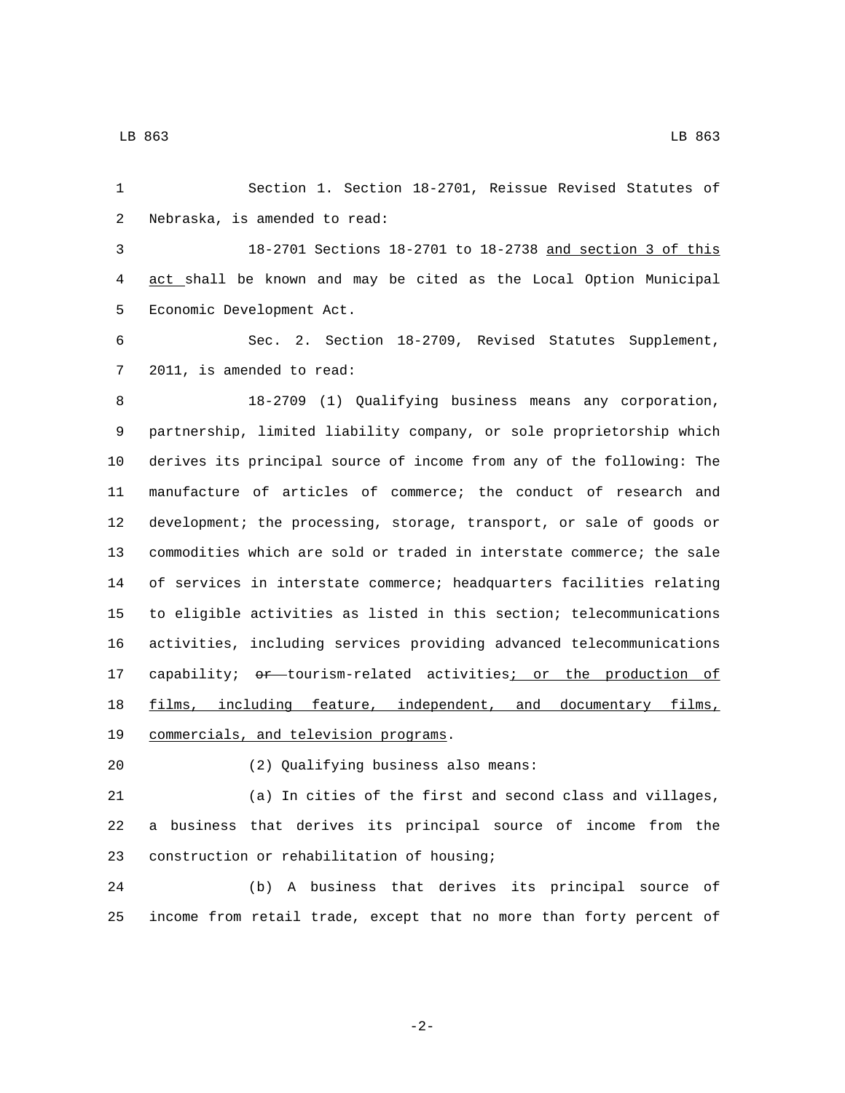Section 1. Section 18-2701, Reissue Revised Statutes of 2 Nebraska, is amended to read: 18-2701 Sections 18-2701 to 18-2738 and section 3 of this act shall be known and may be cited as the Local Option Municipal 5 Economic Development Act. Sec. 2. Section 18-2709, Revised Statutes Supplement, 7 2011, is amended to read: 18-2709 (1) Qualifying business means any corporation, partnership, limited liability company, or sole proprietorship which derives its principal source of income from any of the following: The manufacture of articles of commerce; the conduct of research and development; the processing, storage, transport, or sale of goods or commodities which are sold or traded in interstate commerce; the sale of services in interstate commerce; headquarters facilities relating to eligible activities as listed in this section; telecommunications activities, including services providing advanced telecommunications 17 capability; or tourism-related activities; or the production of films, including feature, independent, and documentary films, 19 commercials, and television programs.

(2) Qualifying business also means:20

 (a) In cities of the first and second class and villages, a business that derives its principal source of income from the 23 construction or rehabilitation of housing;

 (b) A business that derives its principal source of income from retail trade, except that no more than forty percent of

-2-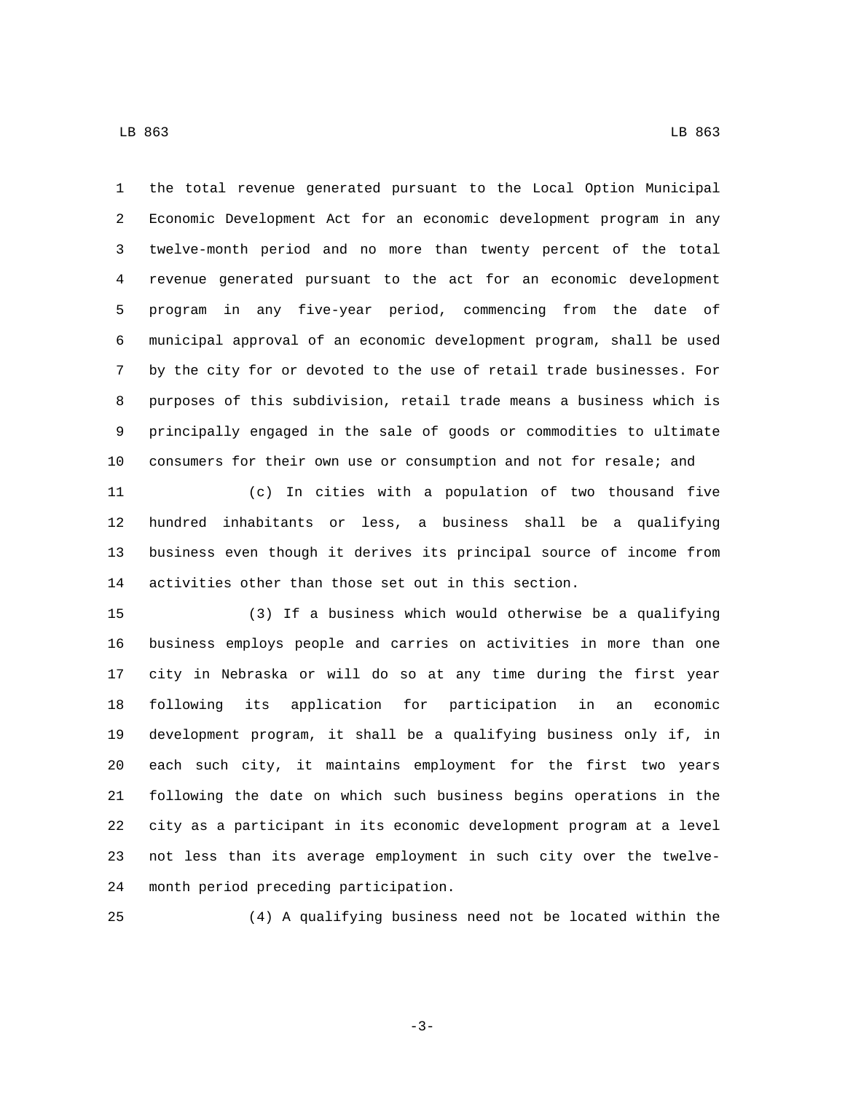the total revenue generated pursuant to the Local Option Municipal Economic Development Act for an economic development program in any twelve-month period and no more than twenty percent of the total revenue generated pursuant to the act for an economic development program in any five-year period, commencing from the date of municipal approval of an economic development program, shall be used by the city for or devoted to the use of retail trade businesses. For purposes of this subdivision, retail trade means a business which is principally engaged in the sale of goods or commodities to ultimate consumers for their own use or consumption and not for resale; and

 (c) In cities with a population of two thousand five hundred inhabitants or less, a business shall be a qualifying business even though it derives its principal source of income from activities other than those set out in this section.

 (3) If a business which would otherwise be a qualifying business employs people and carries on activities in more than one city in Nebraska or will do so at any time during the first year following its application for participation in an economic development program, it shall be a qualifying business only if, in each such city, it maintains employment for the first two years following the date on which such business begins operations in the city as a participant in its economic development program at a level not less than its average employment in such city over the twelve-24 month period preceding participation.

(4) A qualifying business need not be located within the

-3-